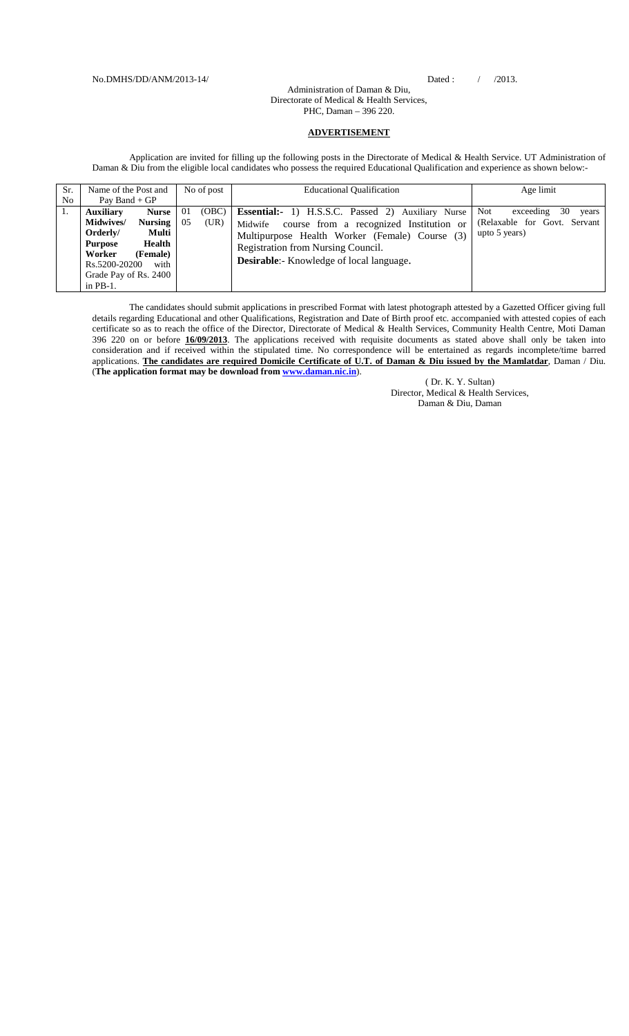## Administration of Daman & Diu, Directorate of Medical & Health Services, PHC, Daman – 396 220.

## **ADVERTISEMENT**

Application are invited for filling up the following posts in the Directorate of Medical & Health Service. UT Administration of Daman & Diu from the eligible local candidates who possess the required Educational Qualification and experience as shown below:-

| Sr.            | Name of the Post and<br>No of post |              | <b>Educational Qualification</b>                   | Age limit                       |  |
|----------------|------------------------------------|--------------|----------------------------------------------------|---------------------------------|--|
| N <sub>o</sub> | Pay Band + $GP$                    |              |                                                    |                                 |  |
| 1.             | <b>Auxiliary</b><br><b>Nurse</b>   | (OBC)<br>-01 | Essential:- 1) H.S.S.C. Passed 2) Auxiliary Nurse  | Not<br>30<br>exceeding<br>years |  |
|                | <b>Midwives/</b><br><b>Nursing</b> | (UR)<br>05   | course from a recognized Institution or<br>Midwife | (Relaxable for Govt. Servant    |  |
|                | Orderly/<br>Multi                  |              | Multipurpose Health Worker (Female) Course (3)     | upto 5 years)                   |  |
|                | Health<br><b>Purpose</b>           |              | Registration from Nursing Council.                 |                                 |  |
|                | (Female)<br>Worker                 |              |                                                    |                                 |  |
|                | Rs.5200-20200<br>with              |              | <b>Desirable:</b> Knowledge of local language.     |                                 |  |
|                | Grade Pay of Rs. 2400              |              |                                                    |                                 |  |
|                | in $PB-1$ .                        |              |                                                    |                                 |  |

The candidates should submit applications in prescribed Format with latest photograph attested by a Gazetted Officer giving full details regarding Educational and other Qualifications, Registration and Date of Birth proof etc. accompanied with attested copies of each certificate so as to reach the office of the Director, Directorate of Medical & Health Services, Community Health Centre, Moti Daman 396 220 on or before **16/09/2013**. The applications received with requisite documents as stated above shall only be taken into consideration and if received within the stipulated time. No correspondence will be entertained as regards incomplete/time barred applications. **The candidates are required Domicile Certificate of U.T. of Daman & Diu issued by the Mamlatdar**, Daman / Diu. (**The application format may be download from [www.daman.nic.in](http://www.daman.nic.in/)**).

( Dr. K. Y. Sultan) Director, Medical & Health Services, Daman & Diu, Daman